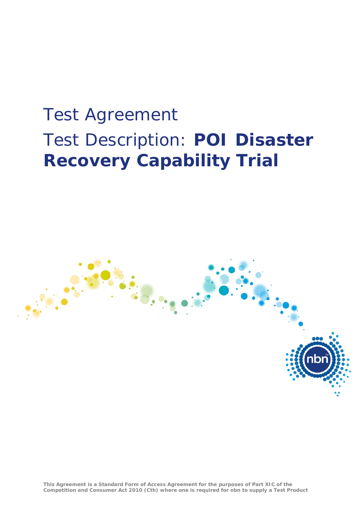# Test Agreement Test Description: **POI Disaster Recovery Capability Trial**



**This Agreement is a Standard Form of Access Agreement for the purposes of Part XIC of the Competition and Consumer Act 2010 (Cth) where one is required for nbn to supply a Test Product**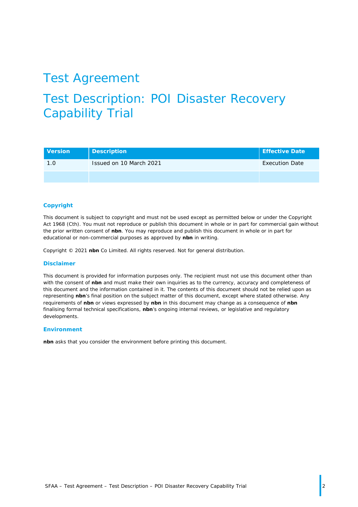### Test Agreement

# Test Description: POI Disaster Recovery Capability Trial

| <b>Version</b> | <b>Description</b>      | Effective Date        |
|----------------|-------------------------|-----------------------|
| 1.0            | Issued on 10 March 2021 | <b>Execution Date</b> |
|                |                         |                       |

#### **Copyright**

This document is subject to copyright and must not be used except as permitted below or under the *Copyright Act 1968* (Cth). You must not reproduce or publish this document in whole or in part for commercial gain without the prior written consent of **nbn**. You may reproduce and publish this document in whole or in part for educational or non-commercial purposes as approved by **nbn** in writing.

Copyright © 2021 **nbn** Co Limited. All rights reserved. Not for general distribution.

#### **Disclaimer**

This document is provided for information purposes only. The recipient must not use this document other than with the consent of **nbn** and must make their own inquiries as to the currency, accuracy and completeness of this document and the information contained in it. The contents of this document should not be relied upon as representing **nbn**'s final position on the subject matter of this document, except where stated otherwise. Any requirements of **nbn** or views expressed by **nbn** in this document may change as a consequence of **nbn** finalising formal technical specifications, **nbn**'s ongoing internal reviews, or legislative and regulatory developments.

#### **Environment**

**nbn** asks that you consider the environment before printing this document.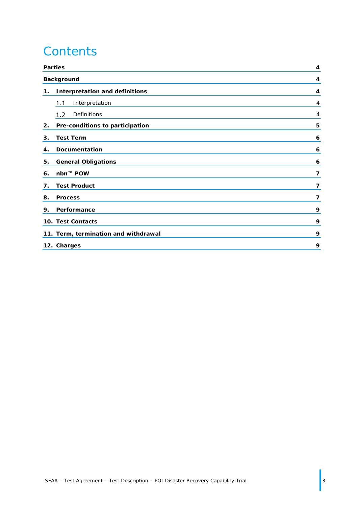# **Contents**

|    | <b>Parties</b>                        |                |
|----|---------------------------------------|----------------|
|    | <b>Background</b>                     | 4              |
| 1. | <b>Interpretation and definitions</b> | 4              |
|    | Interpretation<br>1.1                 | 4              |
|    | 1.2<br>Definitions                    | $\overline{4}$ |
| 2. | Pre-conditions to participation       | 5              |
| 3. | <b>Test Term</b>                      | 6              |
| 4. | <b>Documentation</b>                  | 6              |
| 5. | <b>General Obligations</b>            | 6              |
| 6. | nbn™ POW                              | $\overline{7}$ |
| 7. | <b>Test Product</b>                   | 7              |
| 8. | <b>Process</b>                        | 7              |
| 9. | Performance                           | 9              |
|    | 10. Test Contacts                     | 9              |
|    | 11. Term, termination and withdrawal  | 9              |
|    | 12. Charges                           | 9              |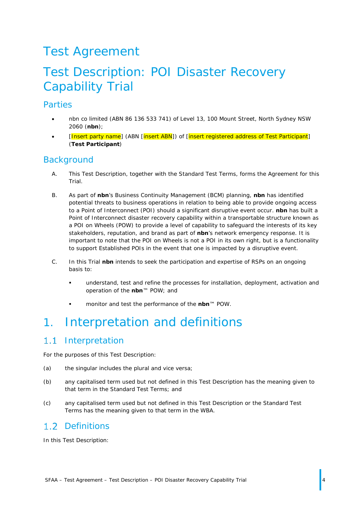# Test Agreement

## Test Description: POI Disaster Recovery Capability Trial

#### <span id="page-3-0"></span>Parties

- nbn co limited (ABN 86 136 533 741) of Level 13, 100 Mount Street, North Sydney NSW 2060 (**nbn**);
- [Insert party name] (ABN [insert ABN]) of [insert registered address of Test Participant] (**Test Participant**)

#### <span id="page-3-1"></span>**Background**

- A. This Test Description, together with the Standard Test Terms, forms the Agreement for this Trial.
- B. As part of **nbn**'s Business Continuity Management (BCM) planning, **nbn** has identified potential threats to business operations in relation to being able to provide ongoing access to a Point of Interconnect (POI) should a significant disruptive event occur. **nbn** has built a Point of Interconnect disaster recovery capability within a transportable structure known as a POI on Wheels (POW) to provide a level of capability to safeguard the interests of its key stakeholders, reputation, and brand as part of **nbn**'s network emergency response. It is important to note that the POI on Wheels is not a POI in its own right, but is a functionality to support Established POIs in the event that one is impacted by a disruptive event.
- C. In this Trial **nbn** intends to seek the participation and expertise of RSPs on an ongoing basis to:
	- understand, test and refine the processes for installation, deployment, activation and operation of the **nbn**™ POW; and
	- monitor and test the performance of the **nbn**™ POW.

### <span id="page-3-2"></span>1. Interpretation and definitions

#### <span id="page-3-3"></span> $1.1$ Interpretation

For the purposes of this Test Description:

- (a) the singular includes the plural and vice versa;
- (b) any capitalised term used but not defined in this Test Description has the meaning given to that term in the Standard Test Terms; and
- (c) any capitalised term used but not defined in this Test Description or the Standard Test Terms has the meaning given to that term in the WBA.

#### <span id="page-3-4"></span>1.2 Definitions

In this Test Description: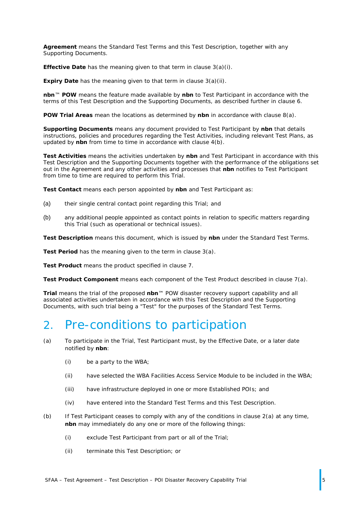**Agreement** means the Standard Test Terms and this Test Description, together with any Supporting Documents.

**Effective Date** has the meaning given to that term in clause [3\(a\)\(i\).](#page-5-3)

**Expiry Date** has the meaning given to that term in clause [3\(a\)\(ii\).](#page-5-4)

**nbn**™ **POW** means the feature made available by **nbn** to Test Participant in accordance with the terms of this Test Description and the Supporting Documents, as described further in clause [6.](#page-6-0)

**POW Trial Areas** mean the locations as determined by **nbn** in accordance with clause [8\(a\).](#page-6-3)

**Supporting Documents** means any document provided to Test Participant by **nbn** that details instructions, policies and procedures regarding the Test Activities, including relevant Test Plans, as updated by **nbn** from time to time in accordance with clause [4](#page-5-1)[\(b\).](#page-5-5)

**Test Activities** means the activities undertaken by **nbn** and Test Participant in accordance with this Test Description and the Supporting Documents together with the performance of the obligations set out in the Agreement and any other activities and processes that **nbn** notifies to Test Participant from time to time are required to perform this Trial.

**Test Contact** means each person appointed by **nbn** and Test Participant as:

- (a) their single central contact point regarding this Trial; and
- (b) any additional people appointed as contact points in relation to specific matters regarding this Trial (such as operational or technical issues).

**Test Description** means this document, which is issued by **nbn** under the Standard Test Terms.

**Test Period** has the meaning given to the term in clause [3\(a\).](#page-5-6)

**Test Product** means the product specified in clause [7.](#page-6-1)

**Test Product Component** means each component of the Test Product described in clause [7\(a\).](#page-6-4)

**Trial** means the trial of the proposed **nbn**™ POW disaster recovery support capability and all associated activities undertaken in accordance with this Test Description and the Supporting Documents, with such trial being a "Test" for the purposes of the Standard Test Terms.

#### <span id="page-4-0"></span>2. Pre-conditions to participation

- <span id="page-4-1"></span>(a) To participate in the Trial, Test Participant must, by the Effective Date, or a later date notified by **nbn**:
	- (i) be a party to the WBA;
	- (ii) have selected the WBA Facilities Access Service Module to be included in the WBA;
	- (iii) have infrastructure deployed in one or more Established POIs; and
	- (iv) have entered into the Standard Test Terms and this Test Description.
- (b) If Test Participant ceases to comply with any of the conditions in clause [2\(a\)](#page-4-1) at any time, **nbn** may immediately do any one or more of the following things:
	- (i) exclude Test Participant from part or all of the Trial;
	- (ii) terminate this Test Description; or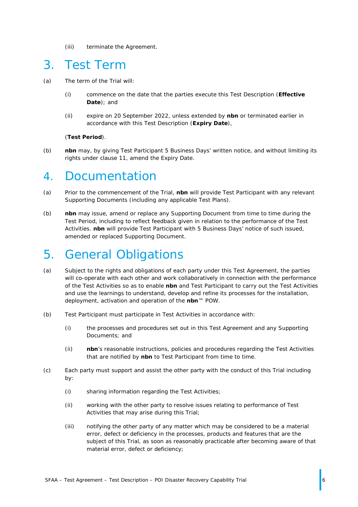(iii) terminate the Agreement.

#### <span id="page-5-0"></span>3. Test Term

- <span id="page-5-6"></span><span id="page-5-3"></span>(a) The term of the Trial will:
	- (i) commence on the date that the parties execute this Test Description (**Effective Date**); and
	- (ii) expire on 20 September 2022, unless extended by **nbn** or terminated earlier in accordance with this Test Description (**Expiry Date**),

#### <span id="page-5-4"></span>(**Test Period**).

(b) **nbn** may, by giving Test Participant 5 Business Days' written notice, and without limiting its rights under clause [11,](#page-8-2) amend the Expiry Date.

#### <span id="page-5-1"></span>4. Documentation

- (a) Prior to the commencement of the Trial, **nbn** will provide Test Participant with any relevant Supporting Documents (including any applicable Test Plans).
- <span id="page-5-5"></span>(b) **nbn** may issue, amend or replace any Supporting Document from time to time during the Test Period, including to reflect feedback given in relation to the performance of the Test Activities. **nbn** will provide Test Participant with 5 Business Days' notice of such issued, amended or replaced Supporting Document.

### <span id="page-5-2"></span>5. General Obligations

- (a) Subject to the rights and obligations of each party under this Test Agreement, the parties will co-operate with each other and work collaboratively in connection with the performance of the Test Activities so as to enable **nbn** and Test Participant to carry out the Test Activities and use the learnings to understand, develop and refine its processes for the installation, deployment, activation and operation of the **nbn**™ POW.
- (b) Test Participant must participate in Test Activities in accordance with:
	- (i) the processes and procedures set out in this Test Agreement and any Supporting Documents; and
	- (ii) **nbn**'s reasonable instructions, policies and procedures regarding the Test Activities that are notified by **nbn** to Test Participant from time to time.
- (c) Each party must support and assist the other party with the conduct of this Trial including by:
	- (i) sharing information regarding the Test Activities;
	- (ii) working with the other party to resolve issues relating to performance of Test Activities that may arise during this Trial;
	- (iii) notifying the other party of any matter which may be considered to be a material error, defect or deficiency in the processes, products and features that are the subject of this Trial, as soon as reasonably practicable after becoming aware of that material error, defect or deficiency;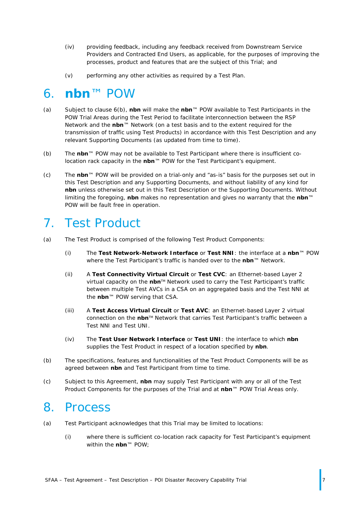- (iv) providing feedback, including any feedback received from Downstream Service Providers and Contracted End Users, as applicable, for the purposes of improving the processes, product and features that are the subject of this Trial; and
- (v) performing any other activities as required by a Test Plan.

#### <span id="page-6-0"></span>6. **nbn**™ POW

- (a) Subject to clause [6\(b\),](#page-6-5) **nbn** will make the **nbn**™ POW available to Test Participants in the POW Trial Areas during the Test Period to facilitate interconnection between the RSP Network and the **nbn**™ Network (on a test basis and to the extent required for the transmission of traffic using Test Products) in accordance with this Test Description and any relevant Supporting Documents (as updated from time to time).
- <span id="page-6-5"></span>(b) The **nbn**™ POW may not be available to Test Participant where there is insufficient colocation rack capacity in the **nbn**™ POW for the Test Participant's equipment.
- (c) The **nbn**™ POW will be provided on a trial-only and "as-is" basis for the purposes set out in this Test Description and any Supporting Documents, and without liability of any kind for **nbn** unless otherwise set out in this Test Description or the Supporting Documents. Without limiting the foregoing, **nbn** makes no representation and gives no warranty that the **nbn**™ POW will be fault free in operation.

### <span id="page-6-1"></span>7. Test Product

- <span id="page-6-4"></span>(a) The Test Product is comprised of the following Test Product Components:
	- (i) The **Test Network-Network Interface** or **Test NNI**: the interface at a **nbn**™ POW where the Test Participant's traffic is handed over to the **nbn**™ Network.
	- (ii) A **Test Connectivity Virtual Circuit** or **Test CVC**: an Ethernet-based Layer 2 virtual capacity on the nbn<sup>™</sup> Network used to carry the Test Participant's traffic between multiple Test AVCs in a CSA on an aggregated basis and the Test NNI at the **nbn**™ POW serving that CSA.
	- (iii) A **Test Access Virtual Circuit** or **Test AVC**: an Ethernet-based Layer 2 virtual connection on the **nbn**TM Network that carries Test Participant's traffic between a Test NNI and Test UNI.
	- (iv) The **Test User Network Interface** or **Test UNI**: the interface to which **nbn** supplies the Test Product in respect of a location specified by **nbn**.
- (b) The specifications, features and functionalities of the Test Product Components will be as agreed between **nbn** and Test Participant from time to time.
- (c) Subject to this Agreement, **nbn** may supply Test Participant with any or all of the Test Product Components for the purposes of the Trial and at **nbn**™ POW Trial Areas only.

#### <span id="page-6-2"></span>8. Process

- <span id="page-6-3"></span>(a) Test Participant acknowledges that this Trial may be limited to locations:
	- (i) where there is sufficient co-location rack capacity for Test Participant's equipment within the **nbn**™ POW;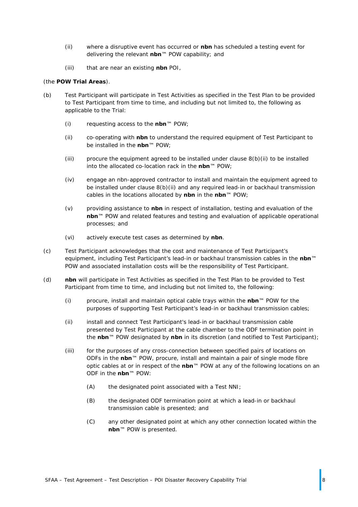- (ii) where a disruptive event has occurred or **nbn** has scheduled a testing event for delivering the relevant **nbn**™ POW capability; and
- (iii) that are near an existing **nbn** POI,

#### (the **POW Trial Areas**).

- <span id="page-7-0"></span>(b) Test Participant will participate in Test Activities as specified in the Test Plan to be provided to Test Participant from time to time, and including but not limited to, the following as applicable to the Trial:
	- (i) requesting access to the **nbn**™ POW;
	- (ii) co-operating with **nbn** to understand the required equipment of Test Participant to be installed in the **nbn**™ POW;
	- (iii) procure the equipment agreed to be installed under clause  $8(b)(ii)$  to be installed into the allocated co-location rack in the **nbn**™ POW;
	- (iv) engage an nbn-approved contractor to install and maintain the equipment agreed to be installed under clause [8\(b\)\(ii\)](#page-7-0) and any required lead-in or backhaul transmission cables in the locations allocated by **nbn** in the **nbn**™ POW;
	- (v) providing assistance to **nbn** in respect of installation, testing and evaluation of the **nbn**™ POW and related features and testing and evaluation of applicable operational processes; and
	- (vi) actively execute test cases as determined by **nbn**.
- <span id="page-7-1"></span>(c) Test Participant acknowledges that the cost and maintenance of Test Participant's equipment, including Test Participant's lead-in or backhaul transmission cables in the **nbn**™ POW and associated installation costs will be the responsibility of Test Participant.
- (d) **nbn** will participate in Test Activities as specified in the Test Plan to be provided to Test Participant from time to time, and including but not limited to, the following:
	- (i) procure, install and maintain optical cable trays within the **nbn**™ POW for the purposes of supporting Test Participant's lead-in or backhaul transmission cables;
	- (ii) install and connect Test Participant's lead-in or backhaul transmission cable presented by Test Participant at the cable chamber to the ODF termination point in the **nbn**™ POW designated by **nbn** in its discretion (and notified to Test Participant);
	- (iii) for the purposes of any cross-connection between specified pairs of locations on ODFs in the **nbn**™ POW, procure, install and maintain a pair of single mode fibre optic cables at or in respect of the **nbn**™ POW at any of the following locations on an ODF in the **nbn**™ POW:
		- (A) the designated point associated with a Test NNI;
		- (B) the designated ODF termination point at which a lead-in or backhaul transmission cable is presented; and
		- (C) any other designated point at which any other connection located within the **nbn**™ POW is presented.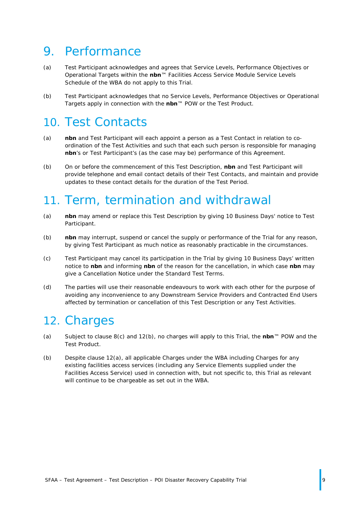### <span id="page-8-0"></span>9. Performance

- (a) Test Participant acknowledges and agrees that Service Levels, Performance Objectives or Operational Targets within the **nbn**™ Facilities Access Service Module Service Levels Schedule of the WBA do not apply to this Trial.
- (b) Test Participant acknowledges that no Service Levels, Performance Objectives or Operational Targets apply in connection with the **nbn**™ POW or the Test Product.

### <span id="page-8-1"></span>10. Test Contacts

- (a) **nbn** and Test Participant will each appoint a person as a Test Contact in relation to coordination of the Test Activities and such that each such person is responsible for managing **nbn**'s or Test Participant's (as the case may be) performance of this Agreement.
- (b) On or before the commencement of this Test Description, **nbn** and Test Participant will provide telephone and email contact details of their Test Contacts, and maintain and provide updates to these contact details for the duration of the Test Period.

#### <span id="page-8-2"></span>11. Term, termination and withdrawal

- (a) **nbn** may amend or replace this Test Description by giving 10 Business Days' notice to Test Participant.
- (b) **nbn** may interrupt, suspend or cancel the supply or performance of the Trial for any reason, by giving Test Participant as much notice as reasonably practicable in the circumstances.
- (c) Test Participant may cancel its participation in the Trial by giving 10 Business Days' written notice to **nbn** and informing **nbn** of the reason for the cancellation, in which case **nbn** may give a Cancellation Notice under the Standard Test Terms.
- (d) The parties will use their reasonable endeavours to work with each other for the purpose of avoiding any inconvenience to any Downstream Service Providers and Contracted End Users affected by termination or cancellation of this Test Description or any Test Activities.

### <span id="page-8-3"></span>12. Charges

- <span id="page-8-5"></span>(a) Subject to clause [8\(c\)](#page-7-1) and [12\(b\),](#page-8-4) no charges will apply to this Trial, the **nbn**™ POW and the Test Product.
- <span id="page-8-4"></span>(b) Despite clause [12\(a\),](#page-8-5) all applicable Charges under the WBA including Charges for any existing facilities access services (including any Service Elements supplied under the Facilities Access Service) used in connection with, but not specific to, this Trial as relevant will continue to be chargeable as set out in the WBA.